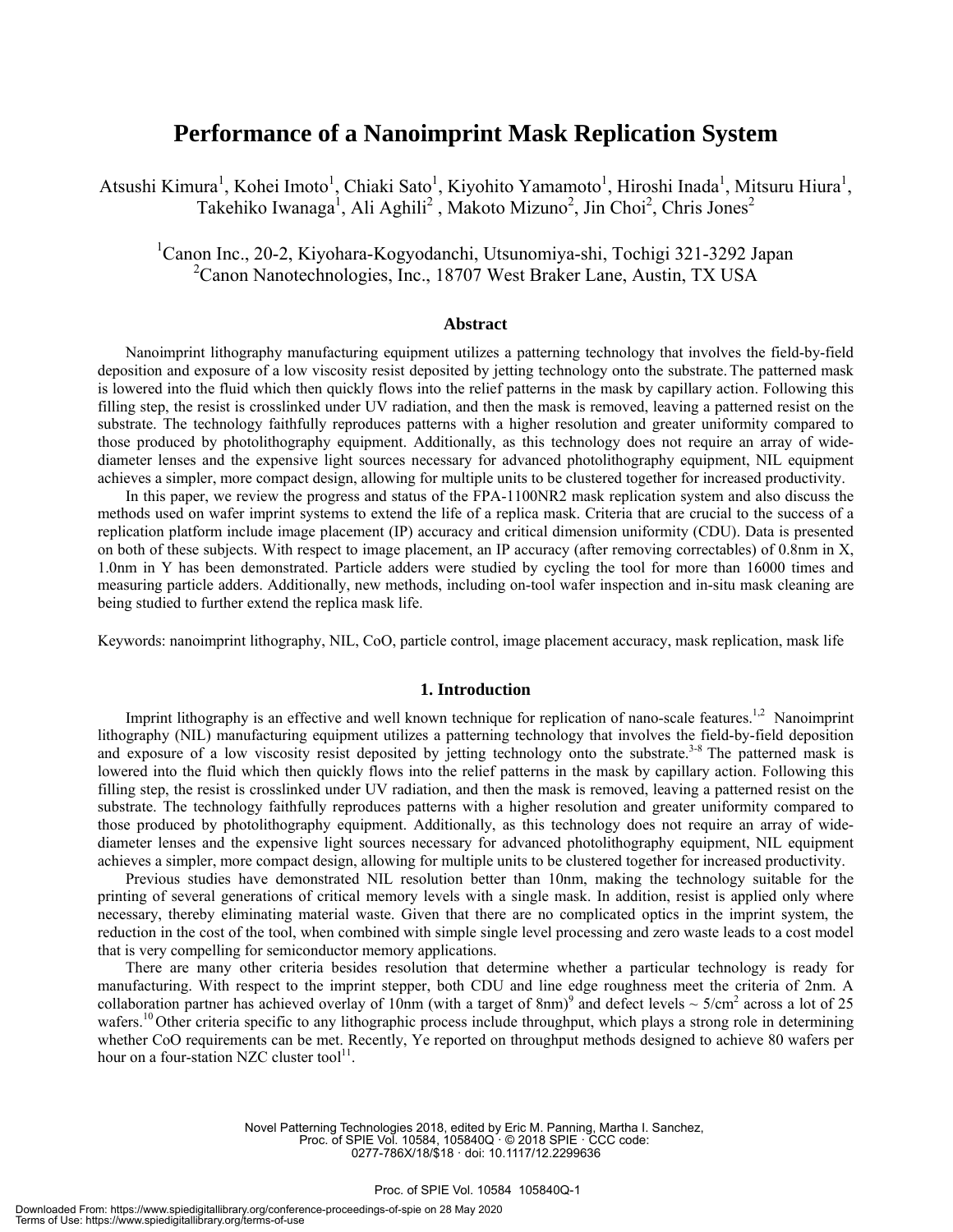# **Performance of a Nanoimprint Mask Replication System**

Atsushi Kimura<sup>1</sup>, Kohei Imoto<sup>1</sup>, Chiaki Sato<sup>1</sup>, Kiyohito Yamamoto<sup>1</sup>, Hiroshi Inada<sup>1</sup>, Mitsuru Hiura<sup>1</sup>, Takehiko Iwanaga<sup>1</sup>, Ali Aghili<sup>2</sup>, Makoto Mizuno<sup>2</sup>, Jin Choi<sup>2</sup>, Chris Jones<sup>2</sup>

1 Canon Inc., 20-2, Kiyohara-Kogyodanchi, Utsunomiya-shi, Tochigi 321-3292 Japan <sup>2</sup> Canon Nanotechnologies, Inc., 18707 West Braker Lane, Austin, TX USA

## **Abstract**

Nanoimprint lithography manufacturing equipment utilizes a patterning technology that involves the field-by-field deposition and exposure of a low viscosity resist deposited by jetting technology onto the substrate. The patterned mask is lowered into the fluid which then quickly flows into the relief patterns in the mask by capillary action. Following this filling step, the resist is crosslinked under UV radiation, and then the mask is removed, leaving a patterned resist on the substrate. The technology faithfully reproduces patterns with a higher resolution and greater uniformity compared to those produced by photolithography equipment. Additionally, as this technology does not require an array of widediameter lenses and the expensive light sources necessary for advanced photolithography equipment, NIL equipment achieves a simpler, more compact design, allowing for multiple units to be clustered together for increased productivity.

In this paper, we review the progress and status of the FPA-1100NR2 mask replication system and also discuss the methods used on wafer imprint systems to extend the life of a replica mask. Criteria that are crucial to the success of a replication platform include image placement (IP) accuracy and critical dimension uniformity (CDU). Data is presented on both of these subjects. With respect to image placement, an IP accuracy (after removing correctables) of  $0.8$ nm in X, 1.0nm in Y has been demonstrated. Particle adders were studied by cycling the tool for more than 16000 times and measuring particle adders. Additionally, new methods, including on-tool wafer inspection and in-situ mask cleaning are being studied to further extend the replica mask life.

Keywords: nanoimprint lithography, NIL, CoO, particle control, image placement accuracy, mask replication, mask life

#### **1. Introduction**

Imprint lithography is an effective and well known technique for replication of nano-scale features.<sup>1,2</sup> Nanoimprint lithography (NIL) manufacturing equipment utilizes a patterning technology that involves the field-by-field deposition and exposure of a low viscosity resist deposited by jetting technology onto the substrate.<sup>3-8</sup> The patterned mask is lowered into the fluid which then quickly flows into the relief patterns in the mask by capillary action. Following this filling step, the resist is crosslinked under UV radiation, and then the mask is removed, leaving a patterned resist on the substrate. The technology faithfully reproduces patterns with a higher resolution and greater uniformity compared to those produced by photolithography equipment. Additionally, as this technology does not require an array of widediameter lenses and the expensive light sources necessary for advanced photolithography equipment, NIL equipment achieves a simpler, more compact design, allowing for multiple units to be clustered together for increased productivity.

Previous studies have demonstrated NIL resolution better than 10nm, making the technology suitable for the printing of several generations of critical memory levels with a single mask. In addition, resist is applied only where necessary, thereby eliminating material waste. Given that there are no complicated optics in the imprint system, the reduction in the cost of the tool, when combined with simple single level processing and zero waste leads to a cost model that is very compelling for semiconductor memory applications.

There are many other criteria besides resolution that determine whether a particular technology is ready for manufacturing. With respect to the imprint stepper, both CDU and line edge roughness meet the criteria of 2nm. A collaboration partner has achieved overlay of 10nm (with a target of 8nm)<sup>9</sup> and defect levels  $\sim 5/cm^2$  across a lot of 25 wafers.<sup>10</sup> Other criteria specific to any lithographic process include throughput, which plays a strong role in determining whether CoO requirements can be met. Recently, Ye reported on throughput methods designed to achieve 80 wafers per hour on a four-station NZC cluster tool $^{11}$ .

> Novel Patterning Technologies 2018, edited by Eric M. Panning, Martha I. Sanchez, Proc. of SPIE Vol. 10584, 105840Q · © 2018 SPIE · CCC code: 0277-786X/18/\$18 · doi: 10.1117/12.2299636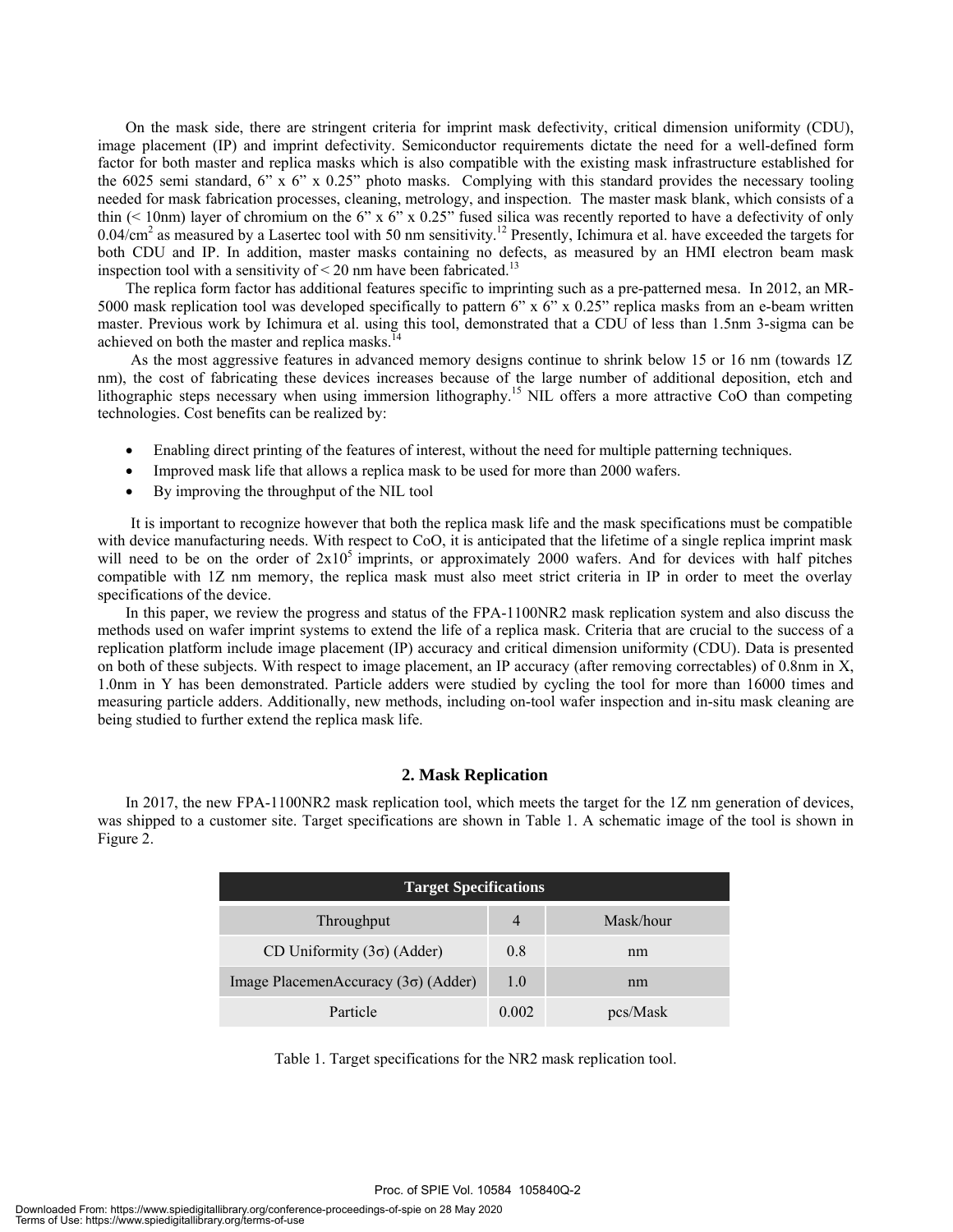On the mask side, there are stringent criteria for imprint mask defectivity, critical dimension uniformity (CDU), image placement (IP) and imprint defectivity. Semiconductor requirements dictate the need for a well-defined form factor for both master and replica masks which is also compatible with the existing mask infrastructure established for the 6025 semi standard, 6" x 6" x 0.25" photo masks. Complying with this standard provides the necessary tooling needed for mask fabrication processes, cleaning, metrology, and inspection. The master mask blank, which consists of a thin  $( $10\text{nm}$ )$  layer of chromium on the 6" x 6" x 0.25" fused silica was recently reported to have a defectivity of only  $0.04/cm<sup>2</sup>$  as measured by a Lasertec tool with 50 nm sensitivity.<sup>12</sup> Presently, Ichimura et al. have exceeded the targets for both CDU and IP. In addition, master masks containing no defects, as measured by an HMI electron beam mask inspection tool with a sensitivity of  $\leq$  20 nm have been fabricated.<sup>13</sup>

The replica form factor has additional features specific to imprinting such as a pre-patterned mesa. In 2012, an MR-5000 mask replication tool was developed specifically to pattern 6" x 6" x 0.25" replica masks from an e-beam written master. Previous work by Ichimura et al. using this tool, demonstrated that a CDU of less than 1.5nm 3-sigma can be achieved on both the master and replica masks.<sup>14</sup>

As the most aggressive features in advanced memory designs continue to shrink below 15 or 16 nm (towards 1Z nm), the cost of fabricating these devices increases because of the large number of additional deposition, etch and lithographic steps necessary when using immersion lithography.<sup>15</sup> NIL offers a more attractive CoO than competing technologies. Cost benefits can be realized by:

- Enabling direct printing of the features of interest, without the need for multiple patterning techniques.
- Improved mask life that allows a replica mask to be used for more than 2000 wafers.
- By improving the throughput of the NIL tool

It is important to recognize however that both the replica mask life and the mask specifications must be compatible with device manufacturing needs. With respect to CoO, it is anticipated that the lifetime of a single replica imprint mask will need to be on the order of  $2x10^5$  imprints, or approximately 2000 wafers. And for devices with half pitches compatible with 1Z nm memory, the replica mask must also meet strict criteria in IP in order to meet the overlay specifications of the device.

In this paper, we review the progress and status of the FPA-1100NR2 mask replication system and also discuss the methods used on wafer imprint systems to extend the life of a replica mask. Criteria that are crucial to the success of a replication platform include image placement (IP) accuracy and critical dimension uniformity (CDU). Data is presented on both of these subjects. With respect to image placement, an IP accuracy (after removing correctables) of 0.8nm in X, 1.0nm in Y has been demonstrated. Particle adders were studied by cycling the tool for more than 16000 times and measuring particle adders. Additionally, new methods, including on-tool wafer inspection and in-situ mask cleaning are being studied to further extend the replica mask life.

## **2. Mask Replication**

 In 2017, the new FPA-1100NR2 mask replication tool, which meets the target for the 1Z nm generation of devices, was shipped to a customer site. Target specifications are shown in Table 1. A schematic image of the tool is shown in Figure 2.

| <b>Target Specifications</b>               |       |           |
|--------------------------------------------|-------|-----------|
| Throughput                                 | 4     | Mask/hour |
| CD Uniformity $(3\sigma)$ (Adder)          | 0.8   | nm        |
| Image PlacemenAccuracy $(3\sigma)$ (Adder) | 1.0   | nm        |
| Particle                                   | 0.002 | pcs/Mask  |

Table 1. Target specifications for the NR2 mask replication tool.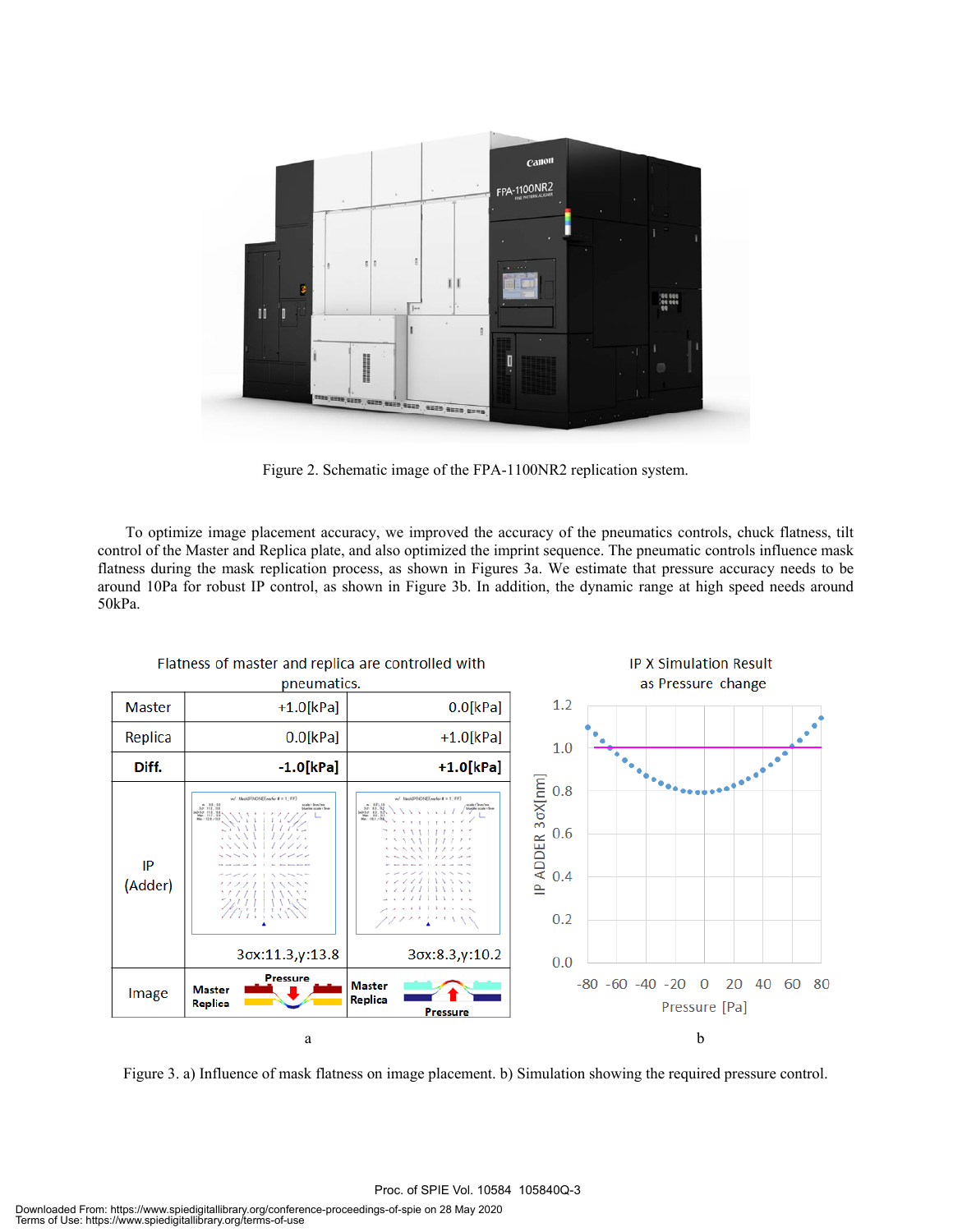

Figure 2. Schematic image of the FPA-1100NR2 replication system.

To optimize image placement accuracy, we improved the accuracy of the pneumatics controls, chuck flatness, tilt control of the Master and Replica plate, and also optimized the imprint sequence. The pneumatic controls influence mask flatness during the mask replication process, as shown in Figures 3a. We estimate that pressure accuracy needs to be around 10Pa for robust IP control, as shown in Figure 3b. In addition, the dynamic range at high speed needs around  $50kPa$ 



Figure 3. a) Influence of mask flatness on image placement. b) Simulation showing the required pressure control.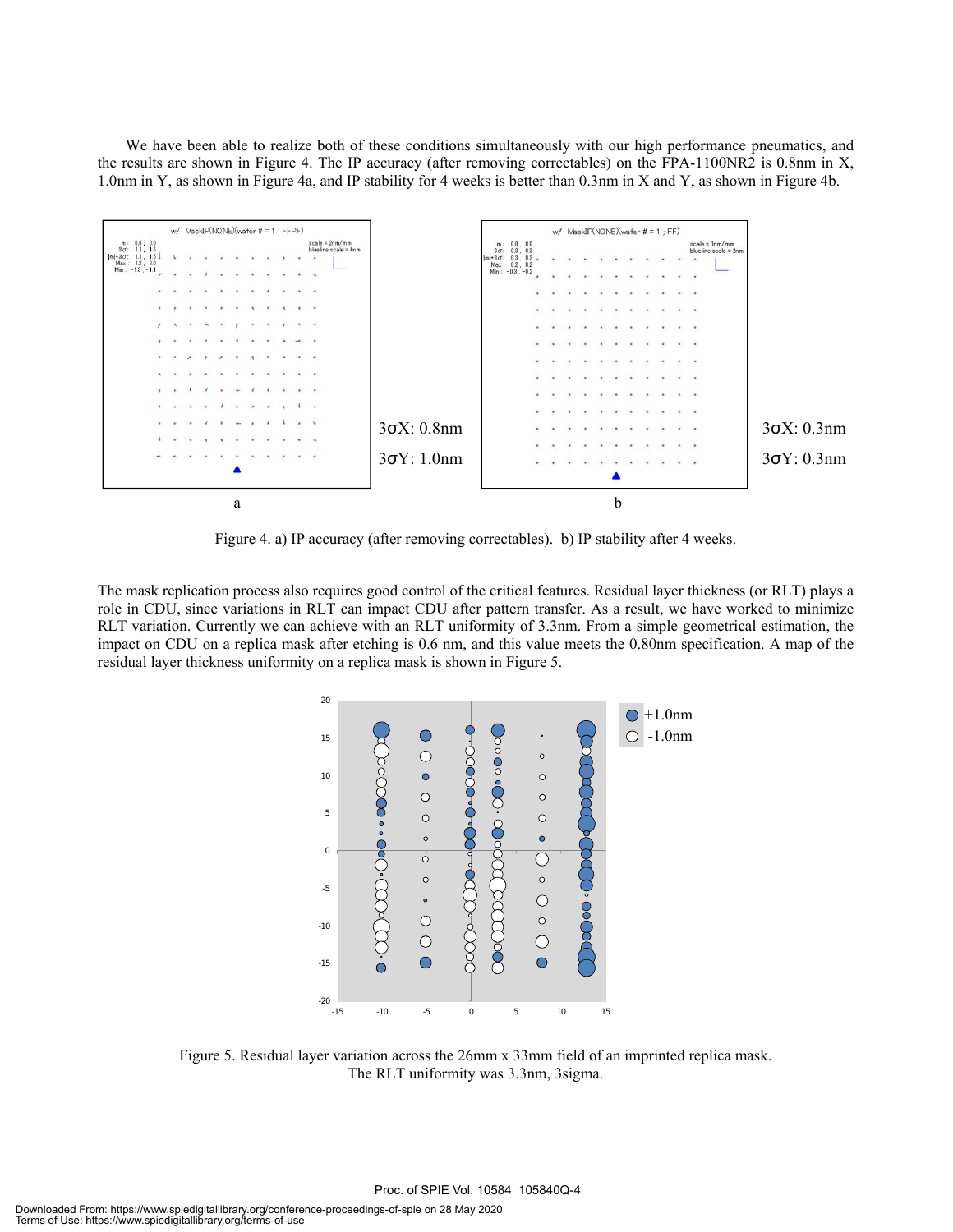We have been able to realize both of these conditions simultaneously with our high performance pneumatics, and the results are shown in Figure 4. The IP accuracy (after removing correctables) on the FPA-1100NR2 is 0.8nm in X, 1.0nm in Y, as shown in Figure 4a, and IP stability for 4 weeks is better than 0.3nm in X and Y, as shown in Figure 4b.



Figure 4. a) IP accuracy (after removing correctables). b) IP stability after 4 weeks.

The mask replication process also requires good control of the critical features. Residual layer thickness (or RLT) plays a role in CDU, since variations in RLT can impact CDU after pattern transfer. As a result, we have worked to minimize RLT variation. Currently we can achieve with an RLT uniformity of 3.3nm. From a simple geometrical estimation, the impact on CDU on a replica mask after etching is 0.6 nm, and this value meets the 0.80nm specification. A map of the residual layer thickness uniformity on a replica mask is shown in Figure 5.



Figure 5. Residual layer variation across the 26mm x 33mm field of an imprinted replica mask. The RLT uniformity was 3.3nm, 3sigma.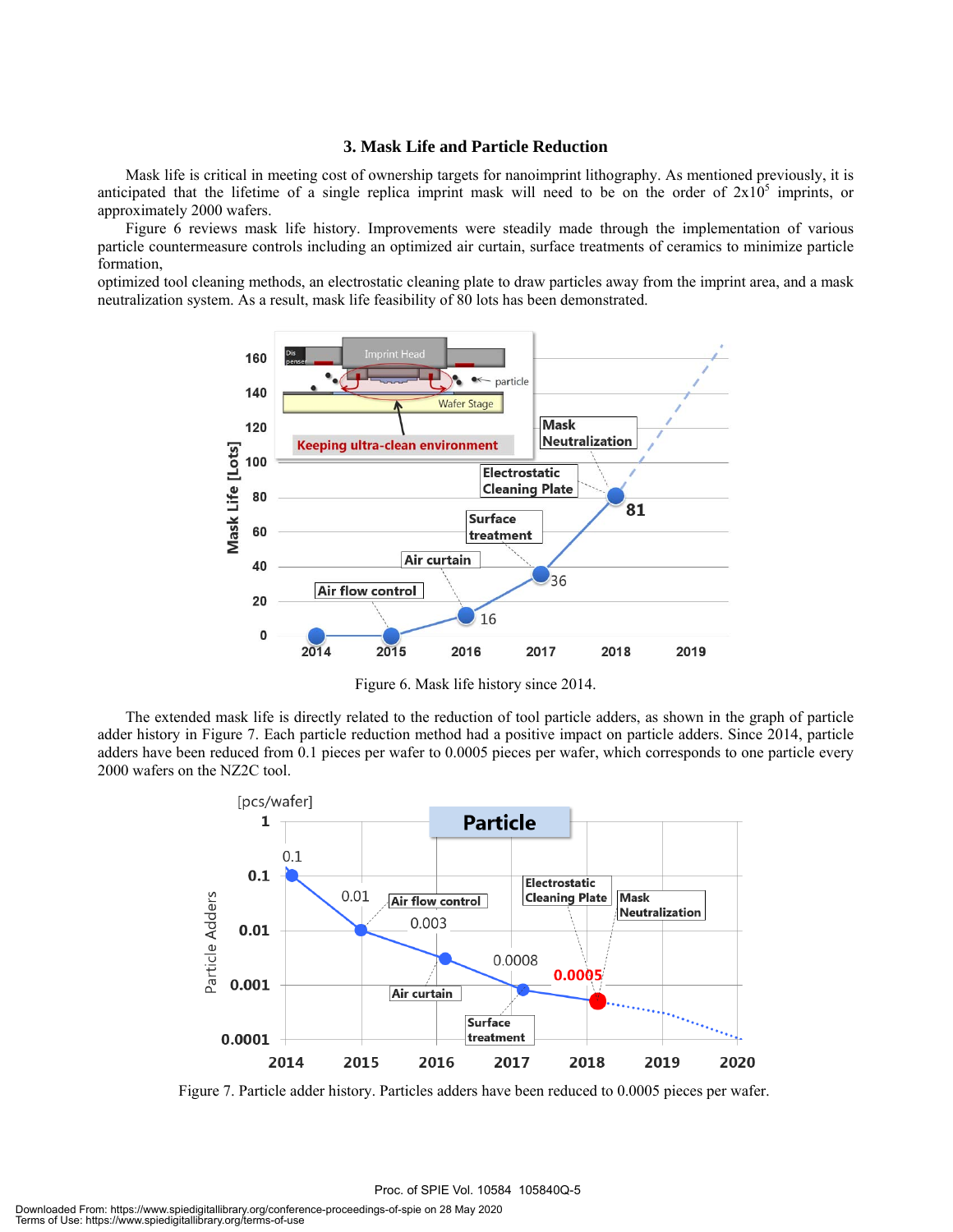## **3. Mask Life and Particle Reduction**

 Mask life is critical in meeting cost of ownership targets for nanoimprint lithography. As mentioned previously, it is anticipated that the lifetime of a single replica imprint mask will need to be on the order of  $2x10^5$  imprints, or approximately 2000 wafers.

 Figure 6 reviews mask life history. Improvements were steadily made through the implementation of various particle countermeasure controls including an optimized air curtain, surface treatments of ceramics to minimize particle formation,

optimized tool cleaning methods, an electrostatic cleaning plate to draw particles away from the imprint area, and a mask neutralization system. As a result, mask life feasibility of 80 lots has been demonstrated.



Figure 6. Mask life history since 2014.

 The extended mask life is directly related to the reduction of tool particle adders, as shown in the graph of particle adder history in Figure 7. Each particle reduction method had a positive impact on particle adders. Since 2014, particle adders have been reduced from 0.1 pieces per wafer to 0.0005 pieces per wafer, which corresponds to one particle every 2000 wafers on the NZ2C tool.



Figure 7. Particle adder history. Particles adders have been reduced to 0.0005 pieces per wafer.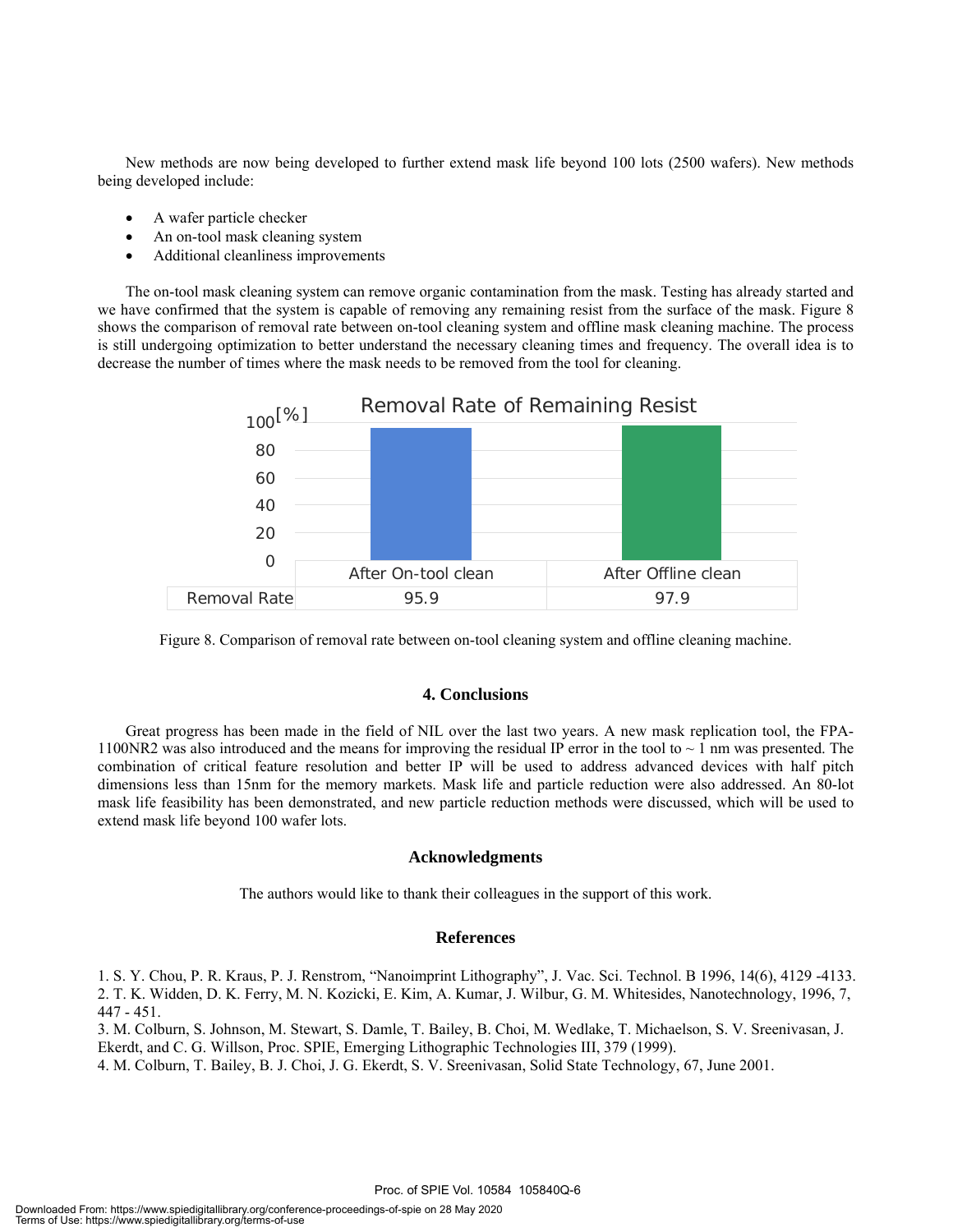New methods are now being developed to further extend mask life beyond 100 lots (2500 wafers). New methods being developed include:

- A wafer particle checker
- An on-tool mask cleaning system
- Additional cleanliness improvements

 The on-tool mask cleaning system can remove organic contamination from the mask. Testing has already started and we have confirmed that the system is capable of removing any remaining resist from the surface of the mask. Figure 8 shows the comparison of removal rate between on-tool cleaning system and offline mask cleaning machine. The process is still undergoing optimization to better understand the necessary cleaning times and frequency. The overall idea is to decrease the number of times where the mask needs to be removed from the tool for cleaning.



Figure 8. Comparison of removal rate between on-tool cleaning system and offline cleaning machine.

## **4. Conclusions**

Great progress has been made in the field of NIL over the last two years. A new mask replication tool, the FPA-1100NR2 was also introduced and the means for improving the residual IP error in the tool to  $\sim$  1 nm was presented. The combination of critical feature resolution and better IP will be used to address advanced devices with half pitch dimensions less than 15nm for the memory markets. Mask life and particle reduction were also addressed. An 80-lot mask life feasibility has been demonstrated, and new particle reduction methods were discussed, which will be used to extend mask life beyond 100 wafer lots.

### **Acknowledgments**

The authors would like to thank their colleagues in the support of this work.

### **References**

1. S. Y. Chou, P. R. Kraus, P. J. Renstrom, "Nanoimprint Lithography", J. Vac. Sci. Technol. B 1996, 14(6), 4129 -4133. 2. T. K. Widden, D. K. Ferry, M. N. Kozicki, E. Kim, A. Kumar, J. Wilbur, G. M. Whitesides, Nanotechnology, 1996, 7, 447 - 451.

3. M. Colburn, S. Johnson, M. Stewart, S. Damle, T. Bailey, B. Choi, M. Wedlake, T. Michaelson, S. V. Sreenivasan, J. Ekerdt, and C. G. Willson, Proc. SPIE, Emerging Lithographic Technologies III, 379 (1999).

4. M. Colburn, T. Bailey, B. J. Choi, J. G. Ekerdt, S. V. Sreenivasan, Solid State Technology, 67, June 2001.